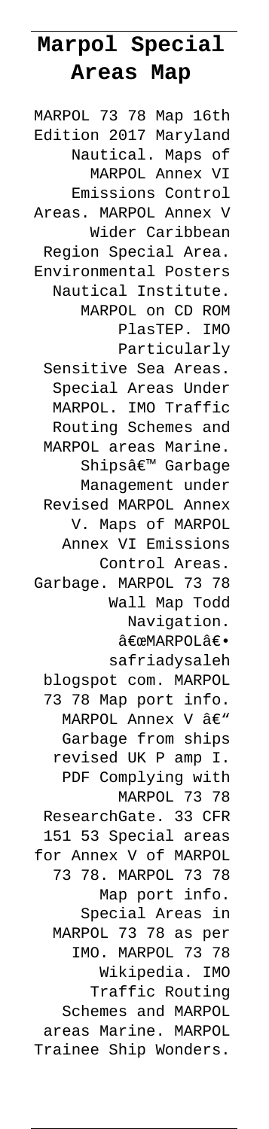# **Marpol Special Areas Map**

MARPOL 73 78 Map 16th Edition 2017 Maryland Nautical. Maps of MARPOL Annex VI Emissions Control Areas. MARPOL Annex V Wider Caribbean Region Special Area. Environmental Posters Nautical Institute. MARPOL on CD ROM PlasTEP. IMO Particularly Sensitive Sea Areas. Special Areas Under MARPOL. IMO Traffic Routing Schemes and MARPOL areas Marine. Shipsâ€<sup>™</sup> Garbage Management under Revised MARPOL Annex V. Maps of MARPOL Annex VI Emissions Control Areas. Garbage. MARPOL 73 78 Wall Map Todd Navigation. "MARPOLâ€. safriadysaleh blogspot com. MARPOL 73 78 Map port info. MARPOL Annex V  $\hat{a}\in$ " Garbage from ships revised UK P amp I. PDF Complying with MARPOL 73 78 ResearchGate. 33 CFR 151 53 Special areas for Annex V of MARPOL 73 78. MARPOL 73 78 Map port info. Special Areas in MARPOL 73 78 as per IMO. MARPOL 73 78 Wikipedia. IMO Traffic Routing Schemes and MARPOL areas Marine. MARPOL Trainee Ship Wonders.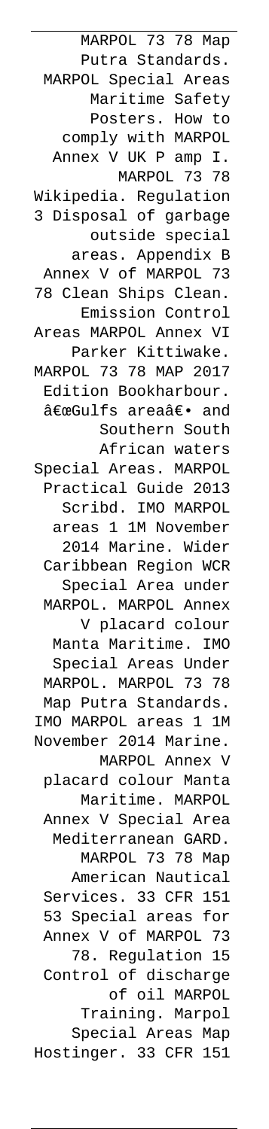MARPOL 73 78 Map Putra Standards. MARPOL Special Areas Maritime Safety Posters. How to comply with MARPOL Annex V UK P amp I. MARPOL 73 78 Wikipedia. Regulation 3 Disposal of garbage outside special areas. Appendix B Annex V of MARPOL 73 78 Clean Ships Clean. Emission Control Areas MARPOL Annex VI Parker Kittiwake. MARPOL 73 78 MAP 2017 Edition Bookharbour. "Gulfs areaâ€. and Southern South African waters Special Areas. MARPOL Practical Guide 2013 Scribd. IMO MARPOL areas 1 1M November 2014 Marine. Wider Caribbean Region WCR Special Area under MARPOL. MARPOL Annex V placard colour Manta Maritime. IMO Special Areas Under MARPOL. MARPOL 73 78 Map Putra Standards. IMO MARPOL areas 1 1M November 2014 Marine. MARPOL Annex V placard colour Manta Maritime. MARPOL Annex V Special Area Mediterranean GARD. MARPOL 73 78 Map American Nautical Services. 33 CFR 151 53 Special areas for Annex V of MARPOL 73 78. Regulation 15 Control of discharge of oil MARPOL Training. Marpol Special Areas Map Hostinger. 33 CFR 151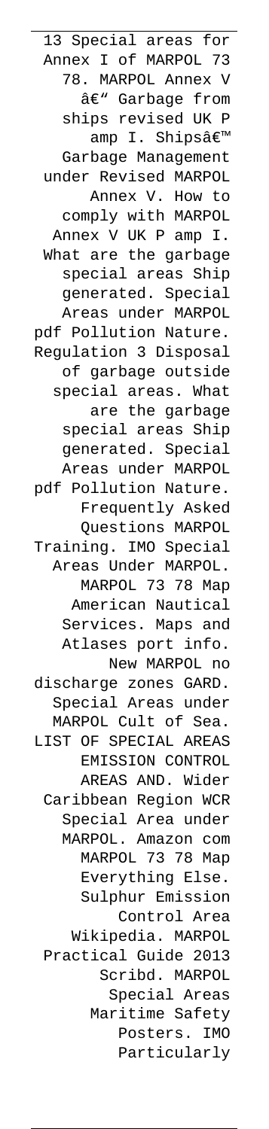13 Special areas for Annex I of MARPOL 73 78. MARPOL Annex V â€" Garbage from ships revised UK P amp I. Shipsâ€<sup>™</sup> Garbage Management under Revised MARPOL Annex V. How to comply with MARPOL Annex V UK P amp I. What are the garbage special areas Ship generated. Special Areas under MARPOL pdf Pollution Nature. Regulation 3 Disposal of garbage outside special areas. What are the garbage special areas Ship generated. Special Areas under MARPOL pdf Pollution Nature. Frequently Asked Questions MARPOL Training. IMO Special Areas Under MARPOL. MARPOL 73 78 Map American Nautical Services. Maps and Atlases port info. New MARPOL no discharge zones GARD. Special Areas under MARPOL Cult of Sea. LIST OF SPECIAL AREAS EMISSION CONTROL AREAS AND. Wider Caribbean Region WCR Special Area under MARPOL. Amazon com MARPOL 73 78 Map Everything Else. Sulphur Emission Control Area Wikipedia. MARPOL Practical Guide 2013 Scribd. MARPOL Special Areas Maritime Safety Posters. IMO Particularly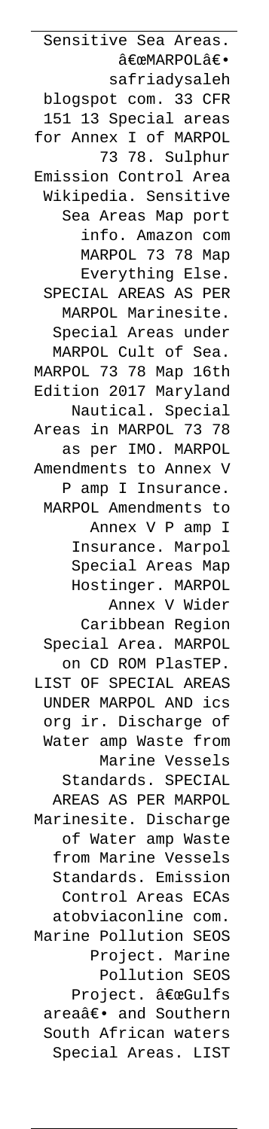Sensitive Sea Areas. "MARPOLâ€. safriadysaleh blogspot com. 33 CFR 151 13 Special areas for Annex I of MARPOL 73 78. Sulphur Emission Control Area Wikipedia. Sensitive Sea Areas Map port info. Amazon com MARPOL 73 78 Map Everything Else. SPECIAL AREAS AS PER MARPOL Marinesite. Special Areas under MARPOL Cult of Sea. MARPOL 73 78 Map 16th Edition 2017 Maryland Nautical. Special Areas in MARPOL 73 78 as per IMO. MARPOL Amendments to Annex V P amp I Insurance. MARPOL Amendments to Annex V P amp I Insurance. Marpol Special Areas Map Hostinger. MARPOL Annex V Wider Caribbean Region Special Area. MARPOL on CD ROM PlasTEP. LIST OF SPECIAL AREAS UNDER MARPOL AND ics org ir. Discharge of Water amp Waste from Marine Vessels Standards. SPECIAL AREAS AS PER MARPOL Marinesite. Discharge of Water amp Waste from Marine Vessels Standards. Emission Control Areas ECAs atobviaconline com. Marine Pollution SEOS Project. Marine Pollution SEOS Project. "Gulfs areaâ€. and Southern South African waters Special Areas. LIST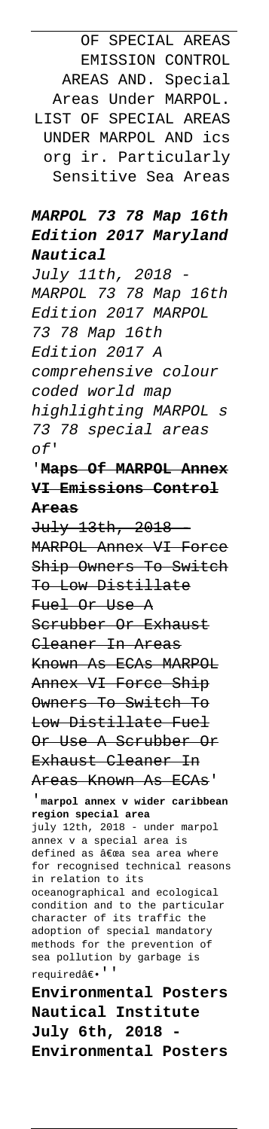OF SPECIAL AREAS EMISSION CONTROL AREAS AND. Special Areas Under MARPOL. LIST OF SPECIAL AREAS UNDER MARPOL AND ics org ir. Particularly Sensitive Sea Areas

#### **MARPOL 73 78 Map 16th Edition 2017 Maryland Nautical**

July 11th, 2018 MARPOL 73 78 Map 16th Edition 2017 MARPOL 73 78 Map 16th Edition 2017 A comprehensive colour coded world map highlighting MARPOL s 73 78 special areas of'

# '**Maps Of MARPOL Annex VI Emissions Control Areas**

July 13th, 2018 - MARPOL Annex VI Force Ship Owners To Switch To Low Distillate Fuel Or Use A Scrubber Or Exhaust Cleaner In Areas Known As ECAs MARPOL Annex VI Force Ship Owners To Switch To Low Distillate Fuel Or Use A Scrubber Or Exhaust Cleaner In Areas Known As ECAs' '**marpol annex v wider caribbean region special area** july 12th, 2018 - under marpol annex v a special area is defined as "a sea area where for recognised technical reasons in relation to its oceanographical and ecological condition and to the particular character of its traffic the adoption of special mandatory methods for the prevention of sea pollution by garbage is required<br>â $\varepsilon\sp{\bullet}$  '

**Environmental Posters Nautical Institute July 6th, 2018 - Environmental Posters**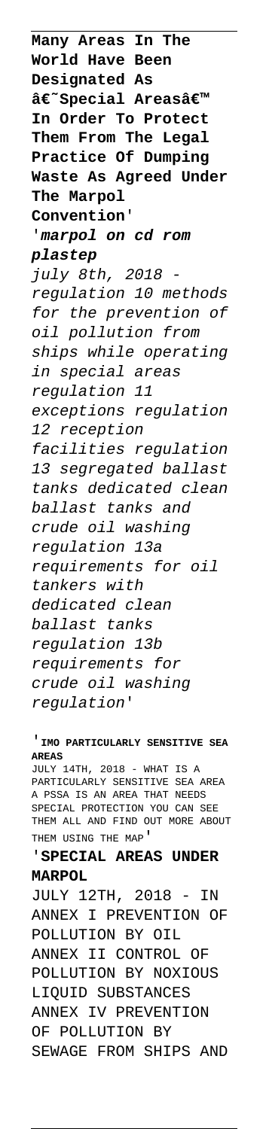**Many Areas In The World Have Been Designated As**  $\hat{\mathbf{a}}\epsilon$ ~Special Areasa<sup>€™</sup> **In Order To Protect Them From The Legal Practice Of Dumping Waste As Agreed Under The Marpol Convention**' '**marpol on cd rom plastep** july 8th, 2018 regulation 10 methods for the prevention of oil pollution from ships while operating in special areas regulation 11 exceptions regulation 12 reception facilities regulation 13 segregated ballast tanks dedicated clean ballast tanks and crude oil washing regulation 13a requirements for oil tankers with dedicated clean ballast tanks regulation 13b requirements for crude oil washing regulation'

#### '**IMO PARTICULARLY SENSITIVE SEA AREAS**

JULY 14TH, 2018 - WHAT IS A PARTICULARLY SENSITIVE SEA AREA A PSSA IS AN AREA THAT NEEDS SPECIAL PROTECTION YOU CAN SEE THEM ALL AND FIND OUT MORE ABOUT THEM USING THE MAP'

#### '**SPECIAL AREAS UNDER MARPOL**

JULY 12TH, 2018 - IN ANNEX I PREVENTION OF POLLUTION BY OIL ANNEX II CONTROL OF POLLUTION BY NOXIOUS LIQUID SUBSTANCES ANNEX IV PREVENTION OF POLLUTION BY SEWAGE FROM SHIPS AND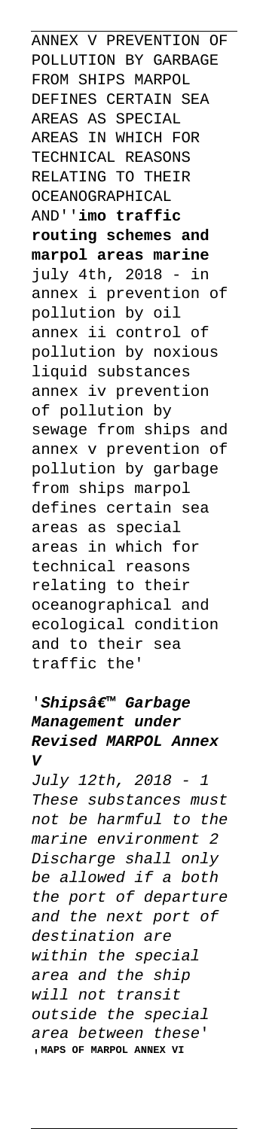ANNEX V PREVENTION OF POLLUTION BY GARBAGE FROM SHIPS MARPOL DEFINES CERTAIN SEA AREAS AS SPECIAL AREAS IN WHICH FOR TECHNICAL REASONS RELATING TO THEIR OCEANOGRAPHICAL AND''**imo traffic routing schemes and marpol areas marine** july 4th, 2018 - in annex i prevention of pollution by oil annex ii control of pollution by noxious liquid substances annex iv prevention of pollution by sewage from ships and annex v prevention of pollution by garbage from ships marpol defines certain sea areas as special areas in which for technical reasons relating to their oceanographical and ecological condition and to their sea traffic the'

## 'Shipsâ€<sup>™</sup> Garbage **Management under Revised MARPOL Annex V**

July 12th, 2018 - 1 These substances must not be harmful to the marine environment 2 Discharge shall only be allowed if a both the port of departure and the next port of destination are within the special area and the ship will not transit outside the special area between these' '**MAPS OF MARPOL ANNEX VI**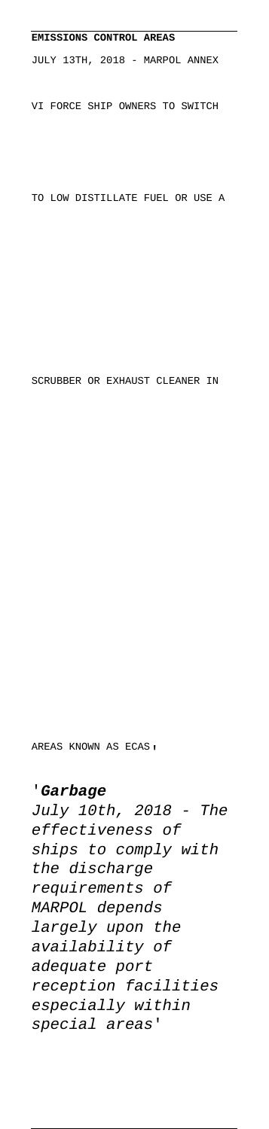# **EMISSIONS CONTROL AREAS** JULY 13TH, 2018 - MARPOL ANNEX VI FORCE SHIP OWNERS TO SWITCH TO LOW DISTILLATE FUEL OR USE A

SCRUBBER OR EXHAUST CLEANER IN

AREAS KNOWN AS ECAS'

#### '**Garbage**

July 10th, 2018 - The effectiveness of ships to comply with the discharge requirements of MARPOL depends largely upon the availability of adequate port reception facilities especially within special areas'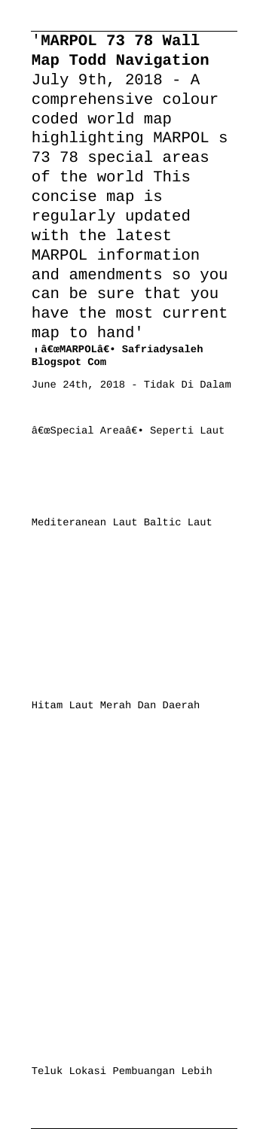'**MARPOL 73 78 Wall Map Todd Navigation** July 9th, 2018 - A comprehensive colour coded world map highlighting MARPOL s 73 78 special areas of the world This concise map is regularly updated with the latest MARPOL information and amendments so you can be sure that you have the most current map to hand' <sub>'</sub> "MARPOL― Safriadysaleh **Blogspot Com** June 24th, 2018 - Tidak Di Dalam "Special Areaâ€. Seperti Laut

Mediteranean Laut Baltic Laut

Hitam Laut Merah Dan Daerah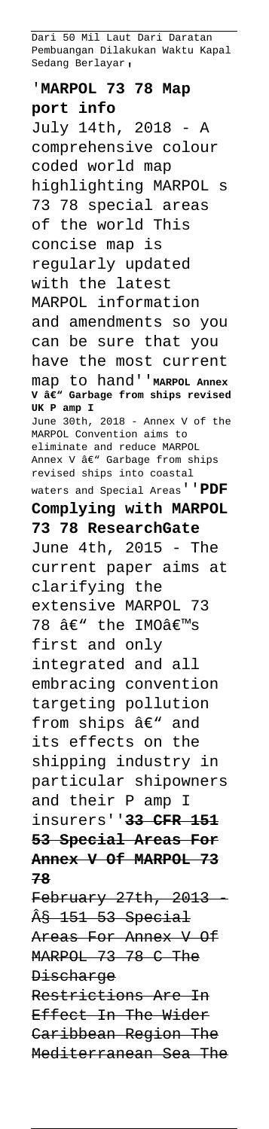Dari 50 Mil Laut Dari Daratan Pembuangan Dilakukan Waktu Kapal Sedang Berlayar,

'**MARPOL 73 78 Map port info** July 14th, 2018 - A comprehensive colour coded world map highlighting MARPOL s 73 78 special areas of the world This concise map is regularly updated with the latest MARPOL information and amendments so you can be sure that you have the most current map to hand''**MARPOL Annex** V â€<sup>w</sup> Garbage from ships revised **UK P amp I**  $2018$  - Annex V of the MARPOL Convention aims to eliminate and reduce MARPOL Annex V â€" Garbage from ships revised ships into coastal waters and Special Areas''**PDF Complying with MARPOL 73 78 ResearchGate** June 4th, 2015 - The current paper aims at clarifying the extensive MARPOL 73 78 â€" the IMOâ€<sup>m</sup>s first and only integrated and all embracing convention targeting pollution from ships  $\hat{a}\in$ " and its effects on the shipping industry in particular shipowners and their P amp I insurers''**33 CFR 151 53 Special Areas For Annex V Of MARPOL 73 78** February 27th, 2013 § 151 53 Special Areas For Annex V Of MARPOL 73 78 C The Discharge Restrictions Are In Effect In The Wider Caribbean Region The Mediterranean Sea The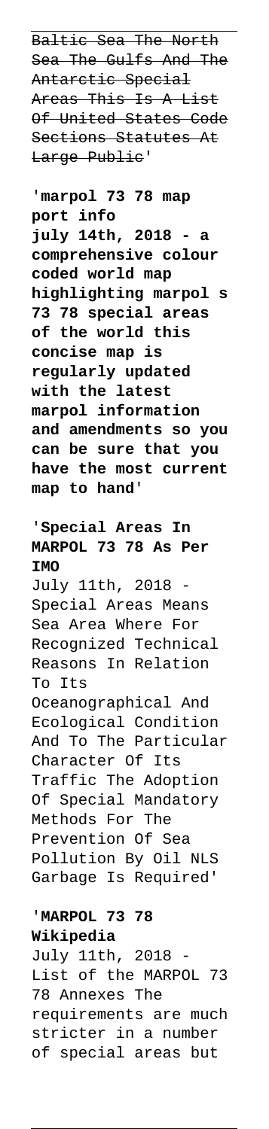Baltic Sea The North Sea The Gulfs And The Antarctic Special Areas This Is A List Of United States Code Sections Statutes At Large Public'

'**marpol 73 78 map port info july 14th, 2018 - a comprehensive colour coded world map highlighting marpol s 73 78 special areas of the world this concise map is regularly updated with the latest marpol information and amendments so you can be sure that you have the most current map to hand**'

## '**Special Areas In MARPOL 73 78 As Per IMO**

July 11th, 2018 Special Areas Means Sea Area Where For Recognized Technical Reasons In Relation To Its Oceanographical And Ecological Condition And To The Particular Character Of Its Traffic The Adoption Of Special Mandatory Methods For The Prevention Of Sea Pollution By Oil NLS Garbage Is Required'

#### '**MARPOL 73 78 Wikipedia**

July 11th, 2018 List of the MARPOL 73 78 Annexes The requirements are much stricter in a number of special areas but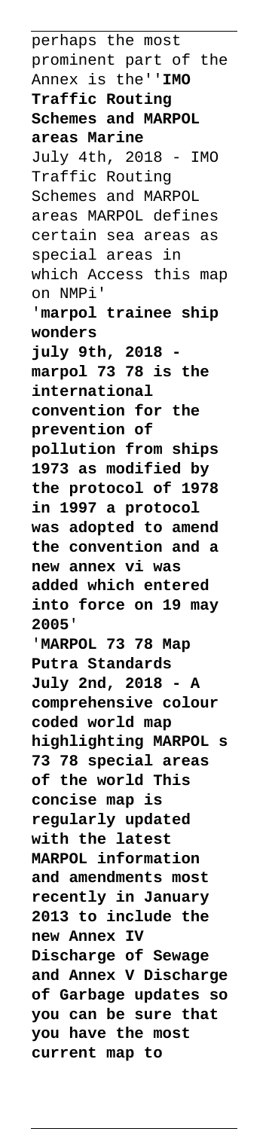perhaps the most prominent part of the Annex is the''**IMO Traffic Routing Schemes and MARPOL areas Marine** July 4th, 2018 - IMO Traffic Routing Schemes and MARPOL areas MARPOL defines certain sea areas as special areas in which Access this map on NMPi' '**marpol trainee ship wonders july 9th, 2018 marpol 73 78 is the international convention for the prevention of pollution from ships 1973 as modified by the protocol of 1978 in 1997 a protocol was adopted to amend the convention and a new annex vi was added which entered into force on 19 may 2005**' '**MARPOL 73 78 Map Putra Standards July 2nd, 2018 - A comprehensive colour coded world map highlighting MARPOL s 73 78 special areas of the world This concise map is regularly updated with the latest MARPOL information and amendments most recently in January 2013 to include the new Annex IV Discharge of Sewage and Annex V Discharge of Garbage updates so you can be sure that you have the most current map to**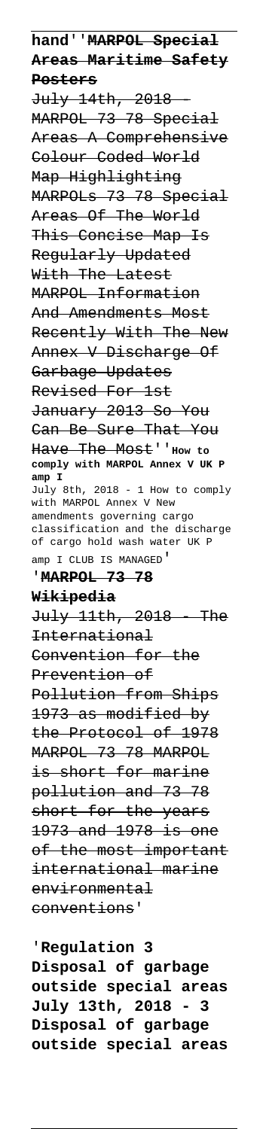**hand**''**MARPOL Special Areas Maritime Safety Posters**

July 14th, 2018 - MARPOL 73 78 Special Areas A Comprehensive Colour Coded World Map Highlighting MARPOLs 73 78 Special Areas Of The World This Concise Map Is Regularly Updated With The Latest MARPOL Information And Amendments Most Recently With The New Annex V Discharge Of Garbage Updates Revised For 1st January 2013 So You Can Be Sure That You Have The Most''**How to comply with MARPOL Annex V UK P amp I** July 8th, 2018 - 1 How to comply with MARPOL Annex V New amendments governing cargo classification and the discharge of cargo hold wash water UK P amp I CLUB IS MANAGED'

#### '**MARPOL 73 78**

#### **Wikipedia**

July 11th, 2018 - The International Convention for the Prevention of Pollution from Ships 1973 as modified by the Protocol of 1978 MARPOL 73 78 MARPOL is short for marine pollution and 73 78 short for the years 1973 and 1978 is one of the most important international marine environmental conventions'

'**Regulation 3 Disposal of garbage outside special areas July 13th, 2018 - 3 Disposal of garbage outside special areas**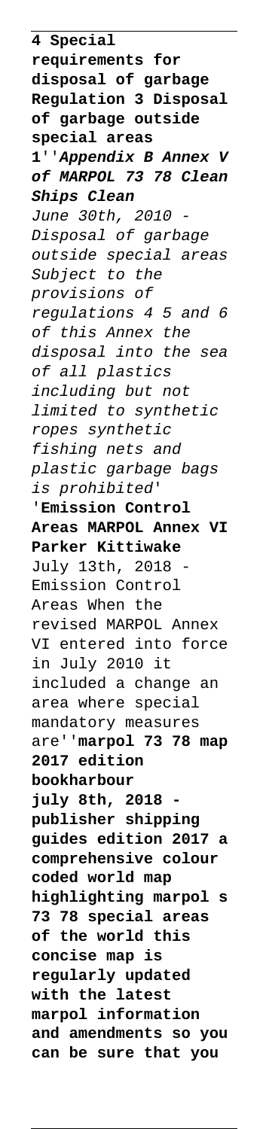**4 Special requirements for disposal of garbage Regulation 3 Disposal of garbage outside special areas 1**''**Appendix B Annex V of MARPOL 73 78 Clean Ships Clean** June 30th, 2010 - Disposal of garbage outside special areas Subject to the provisions of regulations 4 5 and 6 of this Annex the disposal into the sea of all plastics including but not limited to synthetic ropes synthetic fishing nets and plastic garbage bags is prohibited' '**Emission Control Areas MARPOL Annex VI Parker Kittiwake** July 13th, 2018 Emission Control Areas When the revised MARPOL Annex VI entered into force in July 2010 it included a change an area where special mandatory measures are''**marpol 73 78 map 2017 edition bookharbour july 8th, 2018 publisher shipping guides edition 2017 a comprehensive colour coded world map highlighting marpol s 73 78 special areas of the world this concise map is regularly updated with the latest marpol information and amendments so you can be sure that you**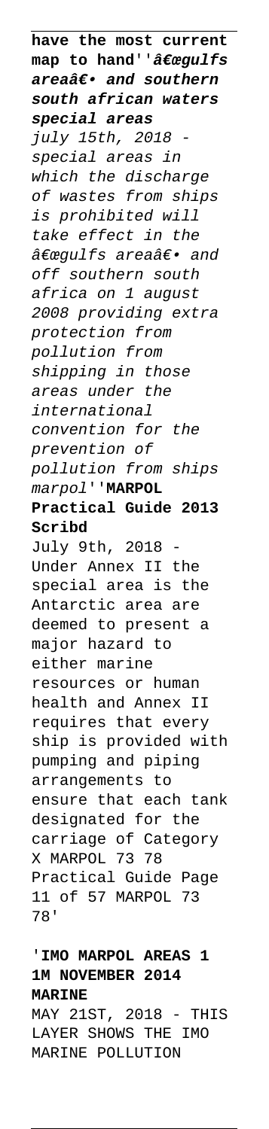**have the most current** map to hand''<sub>a€</sub>œgulfs areaa<sup>e</sup>. and southern **south african waters special areas**  $july$  15th, 2018 special areas in which the discharge of wastes from ships is prohibited will take effect in the "gulfs area― and off southern south africa on 1 august 2008 providing extra protection from pollution from shipping in those areas under the international convention for the prevention of pollution from ships marpol''**MARPOL Practical Guide 2013 Scribd** July 9th, 2018 Under Annex II the special area is the Antarctic area are deemed to present a major hazard to either marine resources or human health and Annex II requires that every ship is provided with pumping and piping arrangements to ensure that each tank designated for the carriage of Category X MARPOL 73 78 Practical Guide Page 11 of 57 MARPOL 73 78'

'**IMO MARPOL AREAS 1 1M NOVEMBER 2014 MARINE** MAY 21ST, 2018 - THIS LAYER SHOWS THE IMO

MARINE POLLUTION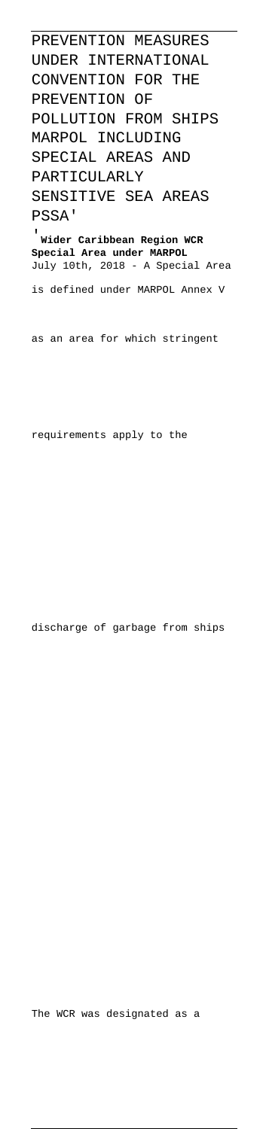PREVENTION MEASURES UNDER INTERNATIONAL CONVENTION FOR THE PREVENTION OF POLLUTION FROM SHIPS MARPOL INCLUDING SPECIAL AREAS AND PARTICULARLY SENSITIVE SEA AREAS PSSA' '**Wider Caribbean Region WCR**

**Special Area under MARPOL** July 10th, 2018 - A Special Area

is defined under MARPOL Annex V

as an area for which stringent

requirements apply to the

discharge of garbage from ships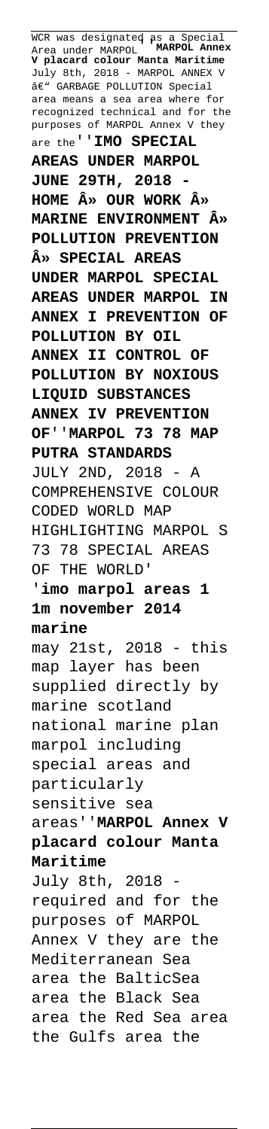WCR was designated as a Special<br>Area under MARPOL, MARPOL Annex Area under MARPOL''**MARPOL Annex V placard colour Manta Maritime** July 8th, 2018 - MARPOL ANNEX V  $\hat{a}\in$ " GARBAGE POLLUTION Special area means a sea area where for recognized technical and for the purposes of MARPOL Annex V they are the''**IMO SPECIAL AREAS UNDER MARPOL JUNE 29TH, 2018 - HOME » OUR WORK » MARINE ENVIRONMENT » POLLUTION PREVENTION » SPECIAL AREAS UNDER MARPOL SPECIAL AREAS UNDER MARPOL IN ANNEX I PREVENTION OF POLLUTION BY OIL ANNEX II CONTROL OF POLLUTION BY NOXIOUS LIQUID SUBSTANCES ANNEX IV PREVENTION OF**''**MARPOL 73 78 MAP PUTRA STANDARDS** JULY 2ND, 2018 - A COMPREHENSIVE COLOUR CODED WORLD MAP HIGHLIGHTING MARPOL S 73 78 SPECIAL AREAS OF THE WORLD' '**imo marpol areas 1 1m november 2014 marine** may 21st, 2018 - this map layer has been supplied directly by marine scotland national marine plan marpol including special areas and particularly sensitive sea areas''**MARPOL Annex V placard colour Manta Maritime** July 8th, 2018 required and for the purposes of MARPOL Annex V they are the Mediterranean Sea area the BalticSea area the Black Sea area the Red Sea area the Gulfs area the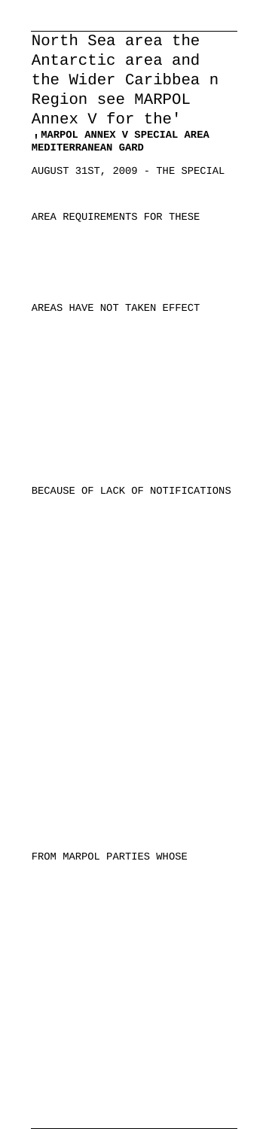North Sea area the Antarctic area and the Wider Caribbea n Region see MARPOL Annex V for the' '**MARPOL ANNEX V SPECIAL AREA MEDITERRANEAN GARD**

AUGUST 31ST, 2009 - THE SPECIAL

AREA REQUIREMENTS FOR THESE

AREAS HAVE NOT TAKEN EFFECT

BECAUSE OF LACK OF NOTIFICATIONS

FROM MARPOL PARTIES WHOSE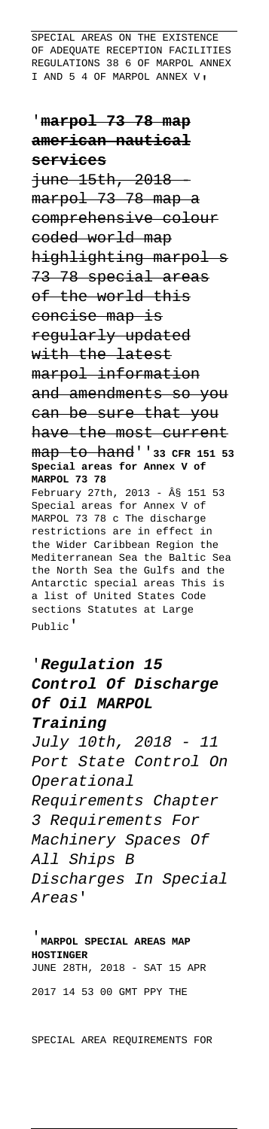SPECIAL AREAS ON THE EXISTENCE OF ADEQUATE RECEPTION FACILITIES REGULATIONS 38 6 OF MARPOL ANNEX I AND 5 4 OF MARPOL ANNEX V,

'**marpol 73 78 map american nautical services** june 15th, 2018 marpol 73 78 map a comprehensive colour coded world map highlighting marpol s 73 78 special areas of the world this concise map is regularly updated with the latest marpol information and amendments so you can be sure that you have the most current map to hand''**33 CFR 151 53 Special areas for Annex V of MARPOL 73 78** February 27th, 2013 - § 151 53 Special areas for Annex V of MARPOL 73 78 c The discharge restrictions are in effect in the Wider Caribbean Region the Mediterranean Sea the Baltic Sea the North Sea the Gulfs and the Antarctic special areas This is a list of United States Code sections Statutes at Large Public'

'**Regulation 15 Control Of Discharge Of Oil MARPOL Training** July 10th, 2018 - 11 Port State Control On Operational Requirements Chapter 3 Requirements For Machinery Spaces Of All Ships B Discharges In Special Areas'

'**MARPOL SPECIAL AREAS MAP HOSTINGER** JUNE 28TH, 2018 - SAT 15 APR 2017 14 53 00 GMT PPY THE

SPECIAL AREA REQUIREMENTS FOR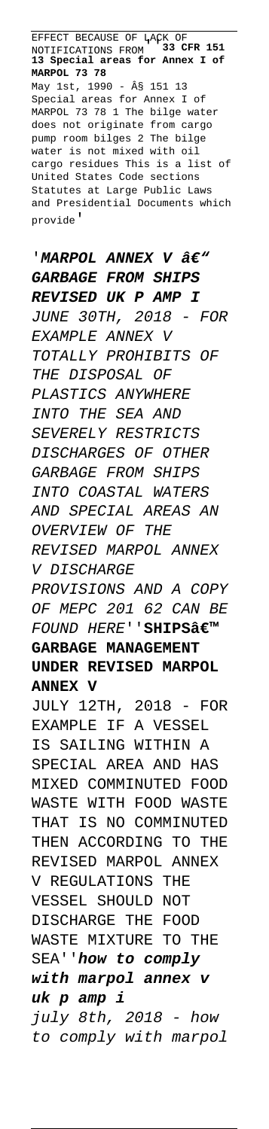EFFECT BECAUSE OF LACK OF NOTIFICATIONS FROM''**33 CFR 151 13 Special areas for Annex I of MARPOL 73 78** May 1st, 1990 - § 151 13 Special areas for Annex I of MARPOL 73 78 1 The bilge water does not originate from cargo pump room bilges 2 The bilge water is not mixed with oil cargo residues This is a list of United States Code sections Statutes at Large Public Laws and Presidential Documents which provide'

'*MARPOL ANNEX V â€*" **GARBAGE FROM SHIPS REVISED UK P AMP I** JUNE 30TH, 2018 - FOR EXAMPLE ANNEX V TOTALLY PROHIBITS OF THE DISPOSAL OF PLASTICS ANYWHERE INTO THE SEA AND SEVERELY RESTRICTS DISCHARGES OF OTHER GARBAGE FROM SHIPS INTO COASTAL WATERS AND SPECIAL AREAS AN OVERVIEW OF THE REVISED MARPOL ANNEX V DISCHARGE PROVISIONS AND A COPY OF MEPC 201 62 CAN BE FOUND HERE''SHIPS<sub>'</sub> **GARBAGE MANAGEMENT UNDER REVISED MARPOL ANNEX V** JULY 12TH, 2018 - FOR EXAMPLE IF A VESSEL IS SAILING WITHIN A SPECIAL AREA AND HAS MIXED COMMINUTED FOOD WASTE WITH FOOD WASTE THAT IS NO COMMINUTED THEN ACCORDING TO THE REVISED MARPOL ANNEX V REGULATIONS THE VESSEL SHOULD NOT DISCHARGE THE FOOD WASTE MIXTURE TO THE SEA''**how to comply with marpol annex v uk p amp i** july 8th, 2018 - how to comply with marpol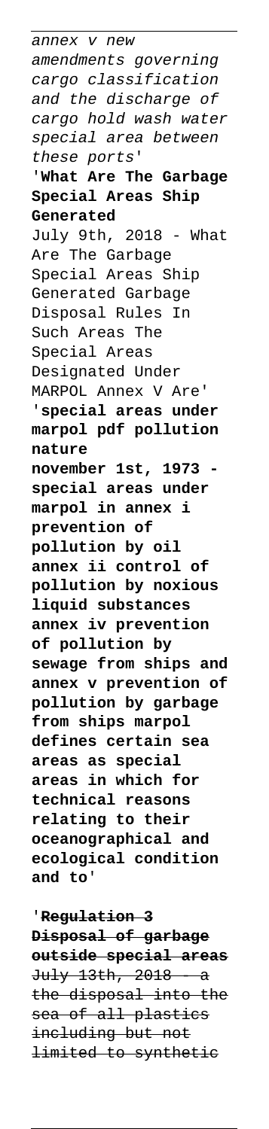annex v new amendments governing cargo classification and the discharge of cargo hold wash water special area between these ports' '**What Are The Garbage Special Areas Ship Generated** July 9th, 2018 - What Are The Garbage Special Areas Ship Generated Garbage Disposal Rules In Such Areas The Special Areas Designated Under MARPOL Annex V Are' '**special areas under marpol pdf pollution nature november 1st, 1973 special areas under marpol in annex i prevention of pollution by oil annex ii control of pollution by noxious liquid substances annex iv prevention of pollution by sewage from ships and annex v prevention of pollution by garbage from ships marpol defines certain sea areas as special areas in which for technical reasons relating to their oceanographical and ecological condition and to**'

'**Regulation 3 Disposal of garbage outside special areas** July 13th, 2018 - a the disposal into the sea of all plastics including but not limited to synthetic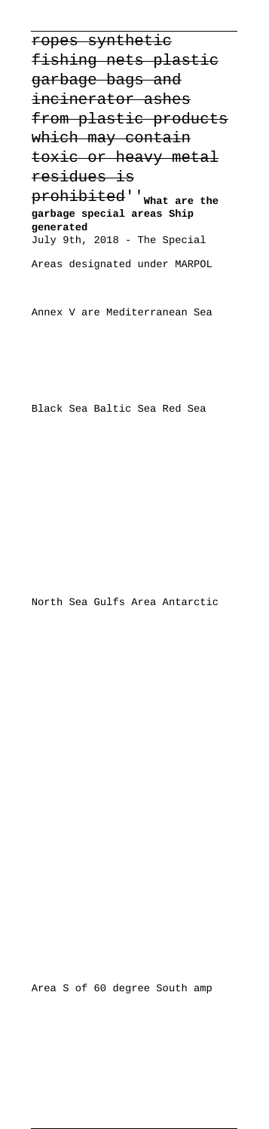ropes synthetic fishing nets plastic garbage bags and incinerator ashes from plastic products which may contain toxic or heavy metal residues is prohibited''**What are the garbage special areas Ship generated** July 9th, 2018 - The Special Areas designated under MARPOL

Annex V are Mediterranean Sea

Black Sea Baltic Sea Red Sea

North Sea Gulfs Area Antarctic

Area S of 60 degree South amp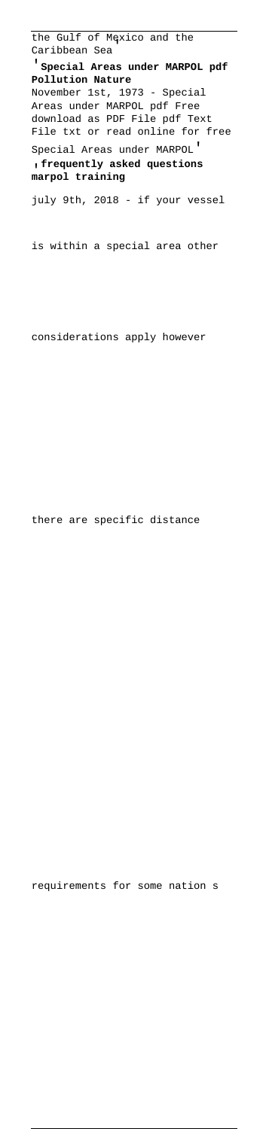the Gulf of Mexico and the Caribbean Sea' '**Special Areas under MARPOL pdf Pollution Nature** November 1st, 1973 - Special Areas under MARPOL pdf Free download as PDF File pdf Text File txt or read online for free Special Areas under MARPOL' '**frequently asked questions marpol training** july 9th, 2018 - if your vessel

is within a special area other

considerations apply however

there are specific distance

requirements for some nation s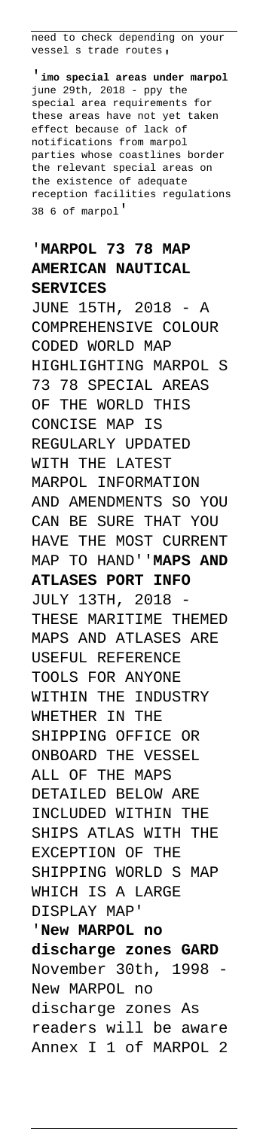need to check depending on your vessel s trade routes,

'**imo special areas under marpol** june 29th, 2018 - ppy the special area requirements for these areas have not yet taken effect because of lack of notifications from marpol parties whose coastlines border the relevant special areas on the existence of adequate reception facilities regulations 38 6 of marpol'

#### '**MARPOL 73 78 MAP AMERICAN NAUTICAL SERVICES**

JUNE 15TH, 2018 - A COMPREHENSIVE COLOUR CODED WORLD MAP HIGHLIGHTING MARPOL S 73 78 SPECIAL AREAS OF THE WORLD THIS CONCISE MAP IS REGULARLY UPDATED WITH THE LATEST MARPOL INFORMATION AND AMENDMENTS SO YOU CAN BE SURE THAT YOU HAVE THE MOST CURRENT MAP TO HAND''**MAPS AND ATLASES PORT INFO** JULY 13TH, 2018 - THESE MARITIME THEMED MAPS AND ATLASES ARE USEFUL REFERENCE TOOLS FOR ANYONE WITHIN THE INDUSTRY WHETHER IN THE SHIPPING OFFICE OR ONBOARD THE VESSEL ALL OF THE MAPS DETAILED BELOW ARE INCLUDED WITHIN THE SHIPS ATLAS WITH THE EXCEPTION OF THE SHIPPING WORLD S MAP WHICH IS A LARGE DISPLAY MAP'

'**New MARPOL no discharge zones GARD** November 30th, 1998 New MARPOL no discharge zones As readers will be aware Annex I 1 of MARPOL 2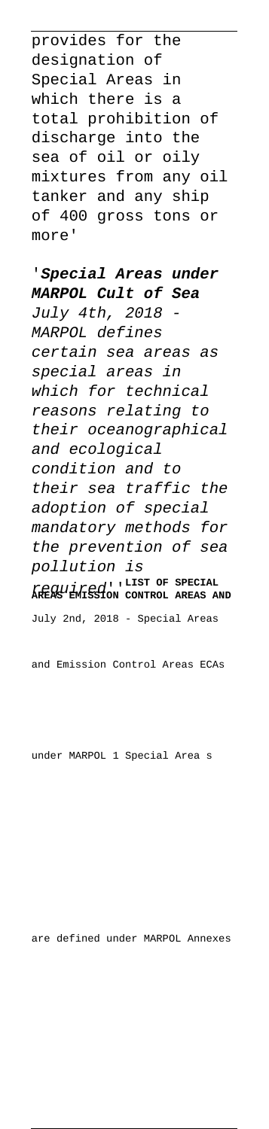provides for the designation of Special Areas in which there is a total prohibition of discharge into the sea of oil or oily mixtures from any oil tanker and any ship of 400 gross tons or more'

'**Special Areas under MARPOL Cult of Sea** July 4th, 2018 MARPOL defines certain sea areas as special areas in which for technical reasons relating to their oceanographical and ecological condition and to their sea traffic the adoption of special mandatory methods for the prevention of sea pollution is required''**LIST OF SPECIAL AREAS EMISSION CONTROL AREAS AND** July 2nd, 2018 - Special Areas

and Emission Control Areas ECAs

under MARPOL 1 Special Area s

are defined under MARPOL Annexes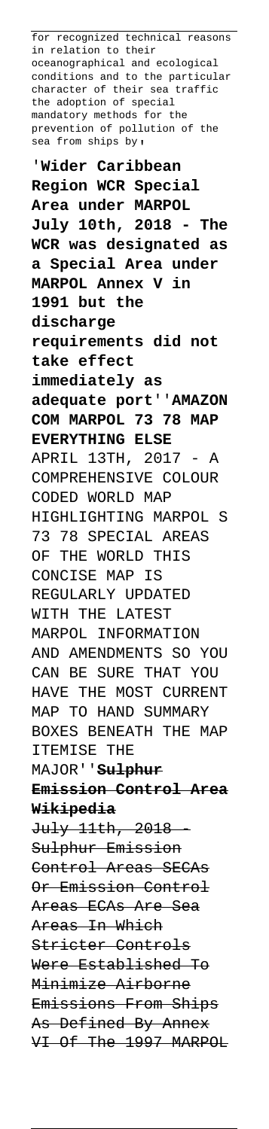for recognized technical reasons in relation to their oceanographical and ecological conditions and to the particular character of their sea traffic the adoption of special mandatory methods for the prevention of pollution of the sea from ships by,

'**Wider Caribbean Region WCR Special Area under MARPOL July 10th, 2018 - The WCR was designated as a Special Area under MARPOL Annex V in 1991 but the discharge requirements did not take effect immediately as adequate port**''**AMAZON COM MARPOL 73 78 MAP EVERYTHING ELSE** APRIL 13TH, 2017 - A COMPREHENSIVE COLOUR CODED WORLD MAP HIGHLIGHTING MARPOL S 73 78 SPECIAL AREAS OF THE WORLD THIS CONCISE MAP IS REGULARLY UPDATED WITH THE LATEST MARPOL INFORMATION AND AMENDMENTS SO YOU CAN BE SURE THAT YOU HAVE THE MOST CURRENT MAP TO HAND SUMMARY BOXES BENEATH THE MAP ITEMISE THE MAJOR''**Sulphur Emission Control Area Wikipedia** July 11th, 2018 - Sulphur Emission Control Areas SECAs Or Emission Control Areas ECAs Are Sea Areas In Which Stricter Controls Were Established To Minimize Airborne Emissions From Ships As Defined By Annex VI Of The 1997 MARPOL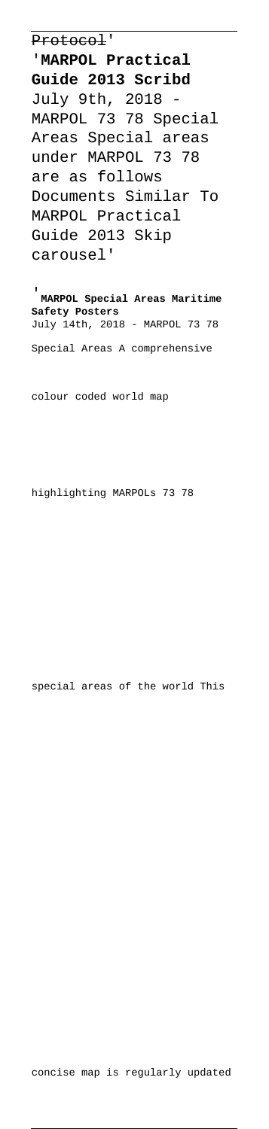Protocol'

'**MARPOL Practical Guide 2013 Scribd** July 9th, 2018 - MARPOL 73 78 Special Areas Special areas under MARPOL 73 78 are as follows Documents Similar To MARPOL Practical Guide 2013 Skip carousel'

'**MARPOL Special Areas Maritime Safety Posters** July 14th, 2018 - MARPOL 73 78 Special Areas A comprehensive

colour coded world map

highlighting MARPOLs 73 78

special areas of the world This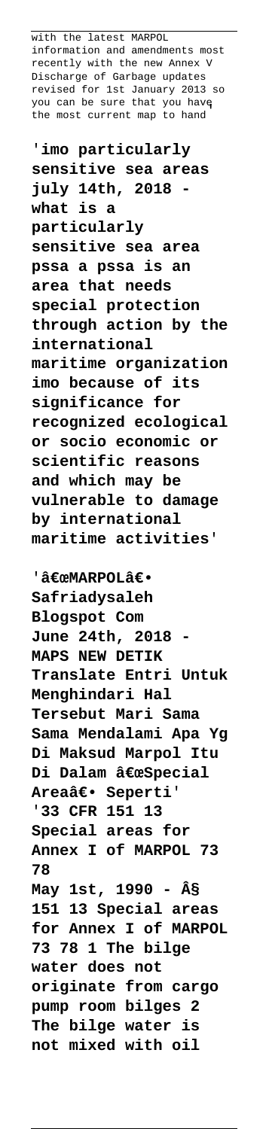with the latest MARPOL information and amendments most recently with the new Annex V Discharge of Garbage updates revised for 1st January 2013 so you can be sure that you have .<br>the most current map to hand

'**imo particularly sensitive sea areas july 14th, 2018 what is a particularly sensitive sea area pssa a pssa is an area that needs special protection through action by the international maritime organization imo because of its significance for recognized ecological or socio economic or scientific reasons and which may be vulnerable to damage by international maritime activities**'

'"MARPOL― **Safriadysaleh Blogspot Com June 24th, 2018 - MAPS NEW DETIK Translate Entri Untuk Menghindari Hal Tersebut Mari Sama Sama Mendalami Apa Yg Di Maksud Marpol Itu Di Dalam "Special** Areaâ€. Seperti' '**33 CFR 151 13 Special areas for Annex I of MARPOL 73 78 May 1st, 1990 - § 151 13 Special areas for Annex I of MARPOL 73 78 1 The bilge water does not originate from cargo pump room bilges 2 The bilge water is not mixed with oil**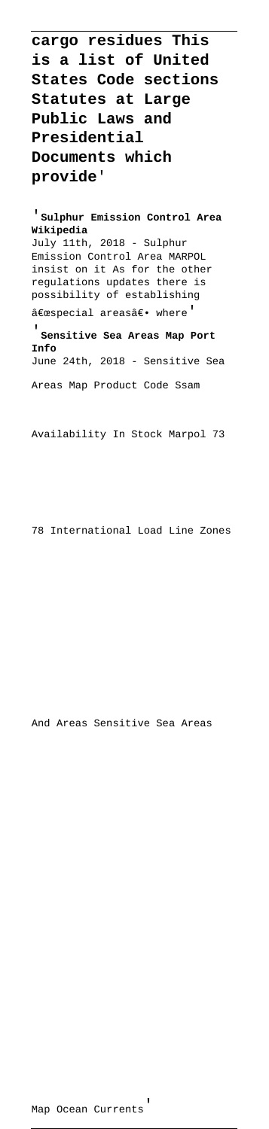**cargo residues This is a list of United States Code sections Statutes at Large Public Laws and Presidential Documents which provide**'

'**Sulphur Emission Control Area Wikipedia** July 11th, 2018 - Sulphur Emission Control Area MARPOL insist on it As for the other regulations updates there is possibility of establishing  $a \in \mathbb{R}$  areasa $\in \mathbb{R}$  where'

'**Sensitive Sea Areas Map Port Info** June 24th, 2018 - Sensitive Sea Areas Map Product Code Ssam

Availability In Stock Marpol 73

78 International Load Line Zones

And Areas Sensitive Sea Areas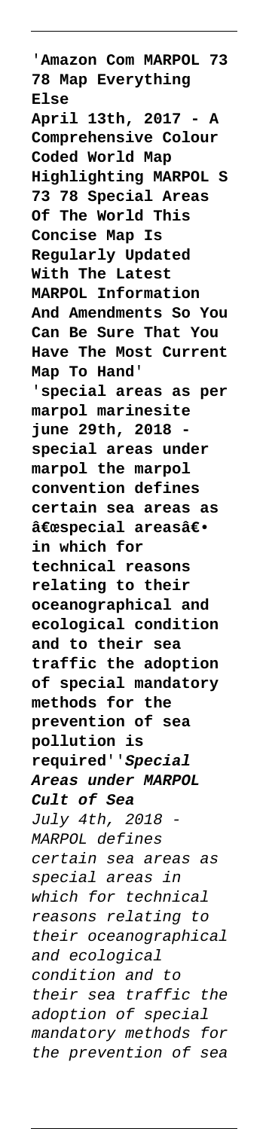'**Amazon Com MARPOL 73 78 Map Everything Else April 13th, 2017 - A Comprehensive Colour Coded World Map Highlighting MARPOL S 73 78 Special Areas Of The World This Concise Map Is Regularly Updated With The Latest MARPOL Information And Amendments So You Can Be Sure That You Have The Most Current Map To Hand**' '**special areas as per marpol marinesite june 29th, 2018 special areas under marpol the marpol convention defines certain sea areas as** "special areasâ€. **in which for technical reasons relating to their oceanographical and ecological condition and to their sea traffic the adoption of special mandatory methods for the prevention of sea pollution is required**''**Special Areas under MARPOL Cult of Sea** July 4th, 2018 - MARPOL defines certain sea areas as special areas in which for technical reasons relating to their oceanographical and ecological condition and to their sea traffic the adoption of special mandatory methods for the prevention of sea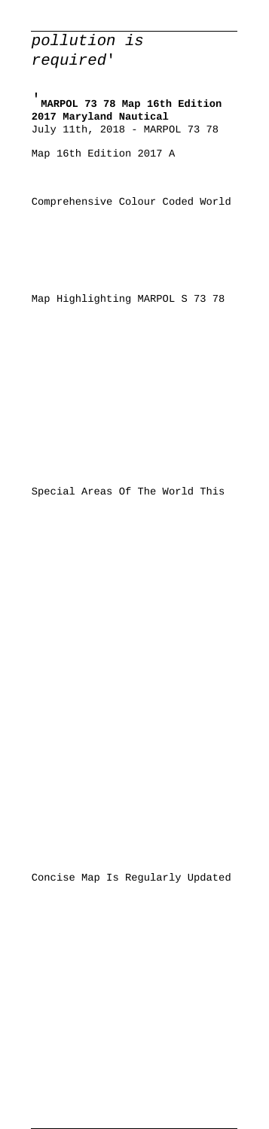pollution is required'

'**MARPOL 73 78 Map 16th Edition 2017 Maryland Nautical** July 11th, 2018 - MARPOL 73 78 Map 16th Edition 2017 A

Comprehensive Colour Coded World

Map Highlighting MARPOL S 73 78

Special Areas Of The World This

Concise Map Is Regularly Updated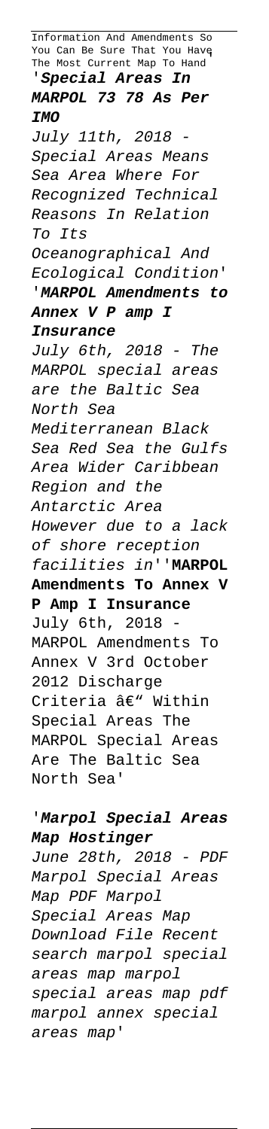Information And Amendments So You Can Be Sure That You Have The Most Current Map To Hand' '**Special Areas In MARPOL 73 78 As Per IMO** July 11th, 2018 Special Areas Means Sea Area Where For Recognized Technical Reasons In Relation To Its Oceanographical And Ecological Condition' '**MARPOL Amendments to Annex V P amp I Insurance** July 6th, 2018 - The MARPOL special areas are the Baltic Sea North Sea Mediterranean Black Sea Red Sea the Gulfs Area Wider Caribbean Region and the Antarctic Area However due to a lack of shore reception facilities in''**MARPOL Amendments To Annex V P Amp I Insurance** July 6th, 2018 - MARPOL Amendments To Annex V 3rd October 2012 Discharge Criteria â€" Within Special Areas The MARPOL Special Areas Are The Baltic Sea North Sea'

# '**Marpol Special Areas Map Hostinger**

June 28th, 2018 - PDF Marpol Special Areas Map PDF Marpol Special Areas Map Download File Recent search marpol special areas map marpol special areas map pdf marpol annex special areas map'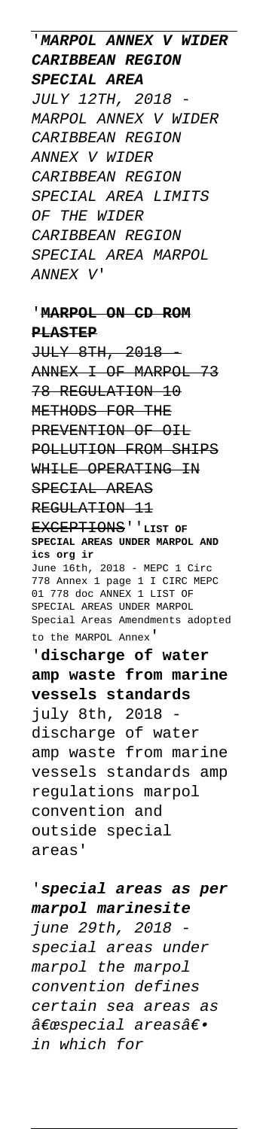'**MARPOL ANNEX V WIDER CARIBBEAN REGION SPECIAL AREA** JULY 12TH, 2018 - MARPOL ANNEX V WIDER CARIBBEAN REGION ANNEX V WIDER CARIBBEAN REGION SPECIAL AREA LIMITS OF THE WIDER CARIBBEAN REGION SPECIAL AREA MARPOL ANNEX V'

#### '**MARPOL ON CD ROM PLASTEP**

JULY 8TH, 2018 - ANNEX I OF MARPOL 73 78 REGULATION 10 METHODS FOR THE PREVENTION OF OIL POLLUTION FROM SHIPS WHILE OPERATING IN SPECIAL AREAS REGULATION 11 EXCEPTIONS''**LIST OF SPECIAL AREAS UNDER MARPOL AND ics org ir** June 16th, 2018 - MEPC 1 Circ 778 Annex 1 page 1 I CIRC MEPC 01 778 doc ANNEX 1 LIST OF SPECIAL AREAS UNDER MARPOL Special Areas Amendments adopted to the MARPOL Annex' '**discharge of water amp waste from marine vessels standards** july 8th, 2018 discharge of water amp waste from marine vessels standards amp regulations marpol convention and

outside special areas'

'**special areas as per marpol marinesite** june 29th, 2018 special areas under marpol the marpol convention defines certain sea areas as "special areasâ€. in which for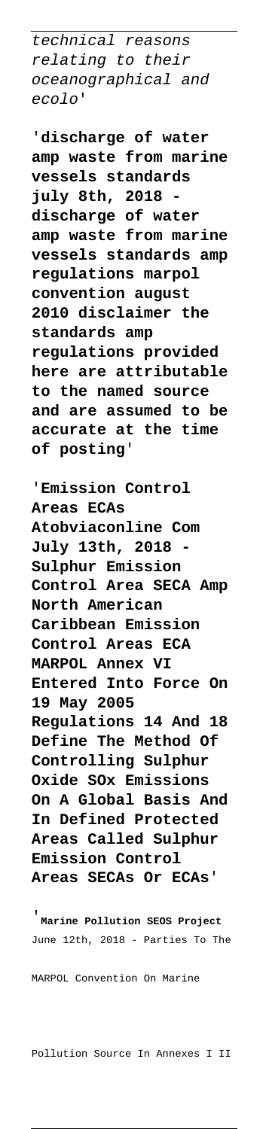technical reasons relating to their oceanographical and ecolo'

'**discharge of water amp waste from marine vessels standards july 8th, 2018 discharge of water amp waste from marine vessels standards amp regulations marpol convention august 2010 disclaimer the standards amp regulations provided here are attributable to the named source and are assumed to be accurate at the time of posting**'

'**Emission Control Areas ECAs Atobviaconline Com July 13th, 2018 - Sulphur Emission Control Area SECA Amp North American Caribbean Emission Control Areas ECA MARPOL Annex VI Entered Into Force On 19 May 2005 Regulations 14 And 18 Define The Method Of Controlling Sulphur Oxide SOx Emissions On A Global Basis And In Defined Protected Areas Called Sulphur Emission Control Areas SECAs Or ECAs**'

'**Marine Pollution SEOS Project** June 12th, 2018 - Parties To The

MARPOL Convention On Marine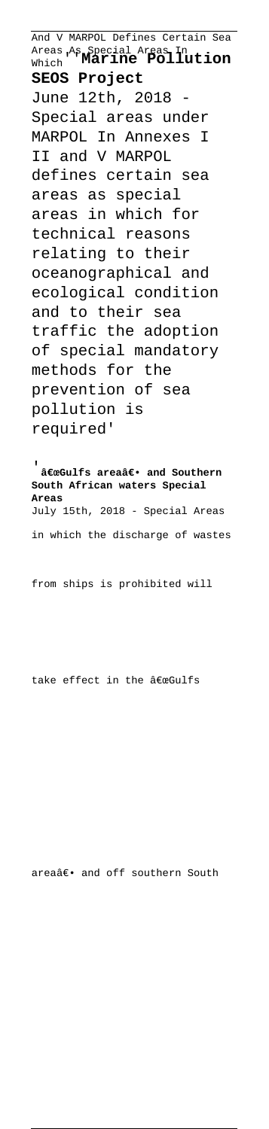And V MARPOL Defines Certain Sea Areas As Special Areas In Which''**Marine Pollution SEOS Project** June 12th, 2018 - Special areas under MARPOL In Annexes I II and V MARPOL defines certain sea areas as special areas in which for technical reasons relating to their oceanographical and ecological condition and to their sea traffic the adoption of special mandatory methods for the prevention of sea pollution is required'

**ExeGulfs areaâ€.** and Southern **South African waters Special Areas** July 15th, 2018 - Special Areas in which the discharge of wastes

from ships is prohibited will

take effect in the "Gulfs

areaâ€. and off southern South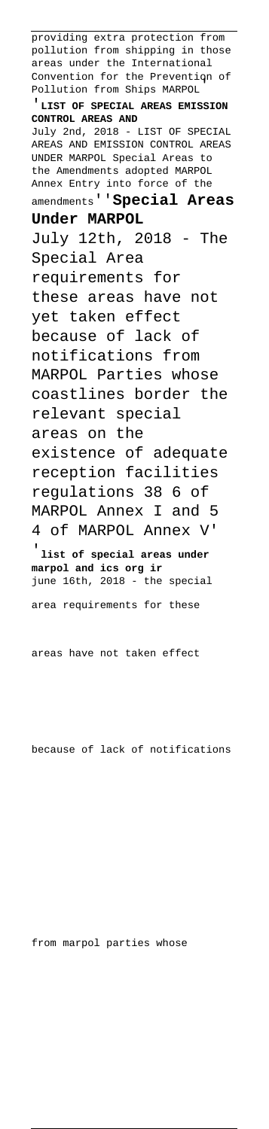providing extra protection from pollution from shipping in those areas under the International Convention for the Prevention of Pollution from Ships MARPOL' '**LIST OF SPECIAL AREAS EMISSION CONTROL AREAS AND** July 2nd, 2018 - LIST OF SPECIAL AREAS AND EMISSION CONTROL AREAS UNDER MARPOL Special Areas to the Amendments adopted MARPOL Annex Entry into force of the amendments''**Special Areas Under MARPOL** July 12th, 2018 - The Special Area requirements for these areas have not yet taken effect because of lack of notifications from MARPOL Parties whose coastlines border the relevant special areas on the existence of adequate reception facilities regulations 38 6 of MARPOL Annex I and 5 4 of MARPOL Annex V' '**list of special areas under marpol and ics org ir** june 16th, 2018 - the special area requirements for these

areas have not taken effect

because of lack of notifications

from marpol parties whose